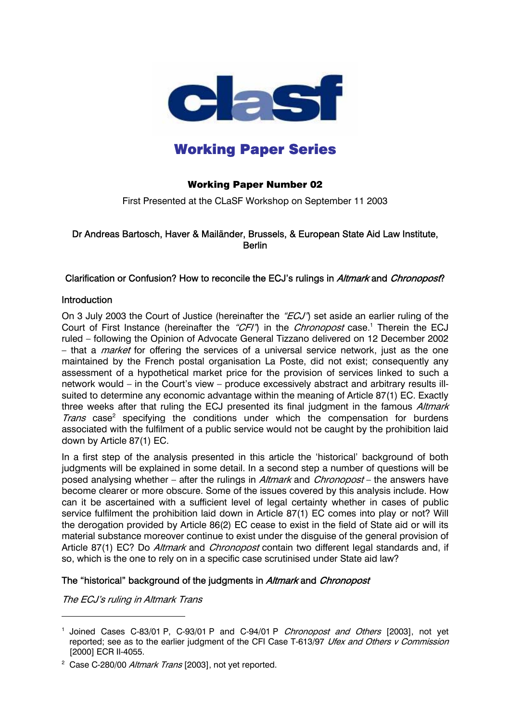

# Working Paper Series

# Working Paper Number 02

First Presented at the CLaSF Workshop on September 11 2003

## Dr Andreas Bartosch, Haver & Mailänder, Brussels, & European State Aid Law Institute, **Berlin**

## Clarification or Confusion? How to reconcile the ECJ's rulings in Altmark and Chronopost?

## **Introduction**

On 3 July 2003 the Court of Justice (hereinafter the " $ECJ$ ") set aside an earlier ruling of the Court of First Instance (hereinafter the "CFI") in the Chronopost case.<sup>1</sup> Therein the ECJ ruled – following the Opinion of Advocate General Tizzano delivered on 12 December 2002 – that a *market* for offering the services of a universal service network, just as the one maintained by the French postal organisation La Poste, did not exist; consequently any assessment of a hypothetical market price for the provision of services linked to such a network would – in the Court's view – produce excessively abstract and arbitrary results illsuited to determine any economic advantage within the meaning of Article 87(1) EC. Exactly three weeks after that ruling the ECJ presented its final judgment in the famous Altmark Trans case<sup>2</sup> specifying the conditions under which the compensation for burdens associated with the fulfilment of a public service would not be caught by the prohibition laid down by Article 87(1) EC.

Article 87(1) EC? Do *Altmark* and *Chronopost* contain two different legal standards and, if In a first step of the analysis presented in this article the 'historical' background of both judgments will be explained in some detail. In a second step a number of questions will be posed analysing whether – after the rulings in Altmark and Chronopost – the answers have become clearer or more obscure. Some of the issues covered by this analysis include. How can it be ascertained with a sufficient level of legal certainty whether in cases of public service fulfilment the prohibition laid down in Article 87(1) EC comes into play or not? Will the derogation provided by Article 86(2) EC cease to exist in the field of State aid or will its material substance moreover continue to exist under the disguise of the general provision of so, which is the one to rely on in a specific case scrutinised under State aid law?

## The "historical" background of the judgments in Altmark and Chronopost

The ECJ's ruling in Altmark Trans

<sup>&</sup>lt;sup>1</sup> Joined Cases C-83/01 P, C-93/01 P and C-94/01 P *Chronopost and Others* [2003], not yet reported; see as to the earlier judgment of the CFI Case T-613/97 Ufex and Others v Commission [2000] ECR II-4055.

<sup>&</sup>lt;sup>2</sup> Case C-280/00 Altmark Trans [2003], not yet reported.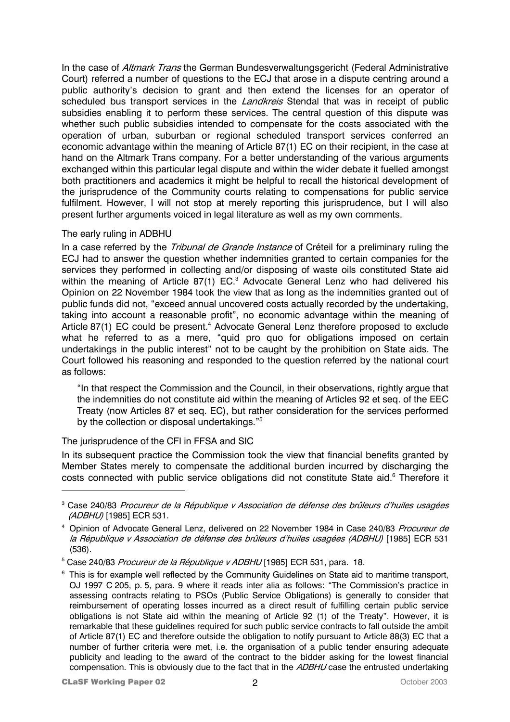In the case of *Altmark Trans* the German Bundesverwaltungsgericht (Federal Administrative Court) referred a number of questions to the ECJ that arose in a dispute centring around a public authority's decision to grant and then extend the licenses for an operator of scheduled bus transport services in the *Landkreis* Stendal that was in receipt of public subsidies enabling it to perform these services. The central question of this dispute was whether such public subsidies intended to compensate for the costs associated with the operation of urban, suburban or regional scheduled transport services conferred an economic advantage within the meaning of Article 87(1) EC on their recipient, in the case at hand on the Altmark Trans company. For a better understanding of the various arguments exchanged within this particular legal dispute and within the wider debate it fuelled amongst both practitioners and academics it might be helpful to recall the historical development of the jurisprudence of the Community courts relating to compensations for public service fulfilment. However, I will not stop at merely reporting this jurisprudence, but I will also present further arguments voiced in legal literature as well as my own comments.

## The early ruling in ADBHU

In a case referred by the *Tribunal de Grande Instance* of Créteil for a preliminary ruling the ECJ had to answer the question whether indemnities granted to certain companies for the services they performed in collecting and/or disposing of waste oils constituted State aid within the meaning of Article 87(1) EC.<sup>3</sup> Advocate General Lenz who had delivered his Opinion on 22 November 1984 took the view that as long as the indemnities granted out of public funds did not, "exceed annual uncovered costs actually recorded by the undertaking, taking into account a reasonable profit", no economic advantage within the meaning of Article 87(1) EC could be present.<sup>4</sup> Advocate General Lenz therefore proposed to exclude what he referred to as a mere, "quid pro quo for obligations imposed on certain undertakings in the public interest" not to be caught by the prohibition on State aids. The Court followed his reasoning and responded to the question referred by the national court as follows:

"In that respect the Commission and the Council, in their observations, rightly argue that the indemnities do not constitute aid within the meaning of Articles 92 et seq. of the EEC Treaty (now Articles 87 et seq. EC), but rather consideration for the services performed by the collection or disposal undertakings."5

## The jurisprudence of the CFI in FFSA and SIC

In its subsequent practice the Commission took the view that financial benefits granted by Member States merely to compensate the additional burden incurred by discharging the costs connected with public service obligations did not constitute State aid.<sup>6</sup> Therefore it

<sup>&</sup>lt;sup>3</sup> Case 240/83 *Procureur de la République v Association de défense des brûleurs d'huiles usagées* (ADBHU) [1985] ECR 531.

<sup>&</sup>lt;sup>4</sup> Opinion of Advocate General Lenz, delivered on 22 November 1984 in Case 240/83 Procureur de la République v Association de défense des brûleurs d'huiles usagées (ADBHU) [1985] ECR 531 (536).

<sup>&</sup>lt;sup>5</sup> Case 240/83 *Procureur de la République v ADBHU* [1985] ECR 531, para. 18.

<sup>&</sup>lt;sup>6</sup> This is for example well reflected by the Community Guidelines on State aid to maritime transport, OJ 1997 C 205, p. 5, para. 9 where it reads inter alia as follows: "The Commission's practice in assessing contracts relating to PSOs (Public Service Obligations) is generally to consider that reimbursement of operating losses incurred as a direct result of fulfilling certain public service obligations is not State aid within the meaning of Article 92 (1) of the Treaty". However, it is remarkable that these guidelines required for such public service contracts to fall outside the ambit of Article 87(1) EC and therefore outside the obligation to notify pursuant to Article 88(3) EC that a number of further criteria were met, i.e. the organisation of a public tender ensuring adequate publicity and leading to the award of the contract to the bidder asking for the lowest financial compensation. This is obviously due to the fact that in the ADBHU case the entrusted undertaking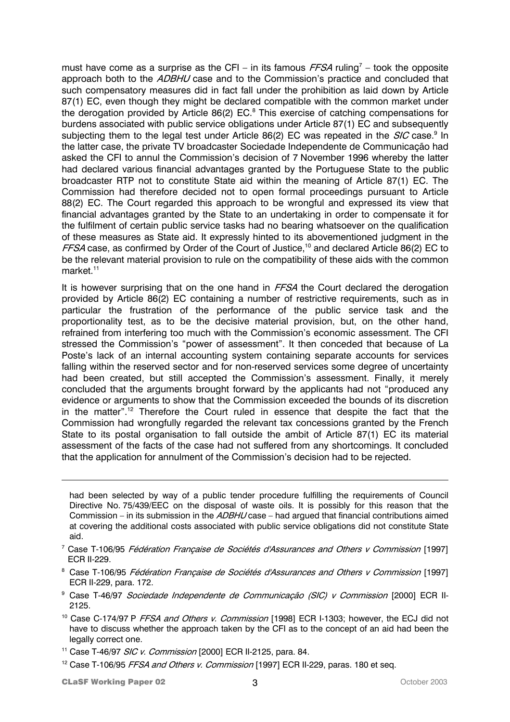must have come as a surprise as the CFI – in its famous  $FFSA$  ruling<sup>7</sup> – took the opposite approach both to the ADBHU case and to the Commission's practice and concluded that such compensatory measures did in fact fall under the prohibition as laid down by Article 87(1) EC, even though they might be declared compatible with the common market under the derogation provided by Article 86(2)  $EC.^8$  This exercise of catching compensations for burdens associated with public service obligations under Article 87(1) EC and subsequently subjecting them to the legal test under Article 86(2) EC was repeated in the SIC case.<sup>9</sup> In the latter case, the private TV broadcaster Sociedade Independente de Communicação had asked the CFI to annul the Commission's decision of 7 November 1996 whereby the latter had declared various financial advantages granted by the Portuguese State to the public broadcaster RTP not to constitute State aid within the meaning of Article 87(1) EC. The Commission had therefore decided not to open formal proceedings pursuant to Article 88(2) EC. The Court regarded this approach to be wrongful and expressed its view that financial advantages granted by the State to an undertaking in order to compensate it for the fulfilment of certain public service tasks had no bearing whatsoever on the qualification of these measures as State aid. It expressly hinted to its abovementioned judgment in the FFSA case, as confirmed by Order of the Court of Justice,<sup>10</sup> and declared Article 86(2) EC to be the relevant material provision to rule on the compatibility of these aids with the common market. $11$ 

It is however surprising that on the one hand in FFSA the Court declared the derogation provided by Article 86(2) EC containing a number of restrictive requirements, such as in particular the frustration of the performance of the public service task and the proportionality test, as to be the decisive material provision, but, on the other hand, refrained from interfering too much with the Commission's economic assessment. The CFI stressed the Commission's "power of assessment". It then conceded that because of La Poste's lack of an internal accounting system containing separate accounts for services falling within the reserved sector and for non-reserved services some degree of uncertainty had been created, but still accepted the Commission's assessment. Finally, it merely concluded that the arguments brought forward by the applicants had not "produced any evidence or arguments to show that the Commission exceeded the bounds of its discretion in the matter".<sup>12</sup> Therefore the Court ruled in essence that despite the fact that the Commission had wrongfully regarded the relevant tax concessions granted by the French State to its postal organisation to fall outside the ambit of Article 87(1) EC its material assessment of the facts of the case had not suffered from any shortcomings. It concluded that the application for annulment of the Commission's decision had to be rejected.

- <sup>8</sup> Case T-106/95 *Fédération Française de Sociétés d'Assurances and Others v Commission* [1997] ECR II-229, para. 172.
- <sup>9</sup> Case T-46/97 *Sociedade Independente de Communicação (SIC) v Commission* [2000] ECR II-2125.
- <sup>10</sup> Case C-174/97 P FFSA and Others v. Commission [1998] ECR I-1303; however, the ECJ did not have to discuss whether the approach taken by the CFI as to the concept of an aid had been the legally correct one.
- <sup>11</sup> Case T-46/97 *SIC v. Commission* [2000] ECR II-2125, para. 84.

had been selected by way of a public tender procedure fulfilling the requirements of Council Directive No. 75/439/EEC on the disposal of waste oils. It is possibly for this reason that the Commission – in its submission in the ADBHU case – had argued that financial contributions aimed at covering the additional costs associated with public service obligations did not constitute State aid.

<sup>&</sup>lt;sup>7</sup> Case T-106/95 *Fédération Française de Sociétés d'Assurances and Others v Commission* [1997] ECR II-229.

<sup>&</sup>lt;sup>12</sup> Case T-106/95 FFSA and Others v. Commission [1997] ECR II-229, paras. 180 et seq.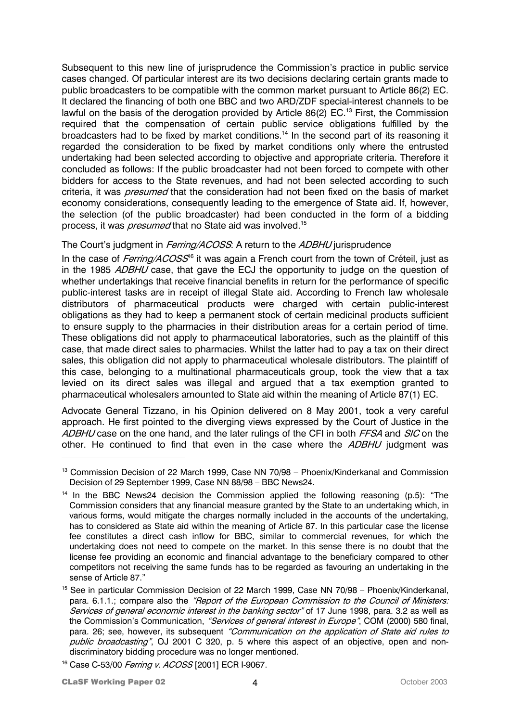Subsequent to this new line of jurisprudence the Commission's practice in public service cases changed. Of particular interest are its two decisions declaring certain grants made to public broadcasters to be compatible with the common market pursuant to Article 86(2) EC. It declared the financing of both one BBC and two ARD/ZDF special-interest channels to be lawful on the basis of the derogation provided by Article 86(2) EC.<sup>13</sup> First, the Commission required that the compensation of certain public service obligations fulfilled by the broadcasters had to be fixed by market conditions.<sup>14</sup> In the second part of its reasoning it regarded the consideration to be fixed by market conditions only where the entrusted undertaking had been selected according to objective and appropriate criteria. Therefore it concluded as follows: If the public broadcaster had not been forced to compete with other bidders for access to the State revenues, and had not been selected according to such criteria, it was *presumed* that the consideration had not been fixed on the basis of market economy considerations, consequently leading to the emergence of State aid. If, however, the selection (of the public broadcaster) had been conducted in the form of a bidding process, it was *presumed* that no State aid was involved.<sup>15</sup>

## The Court's judgment in Ferring/ACOSS: A return to the ADBHU jurisprudence

In the case of *Ferring/ACOSS*<sup>16</sup> it was again a French court from the town of Créteil, just as in the 1985 ADBHU case, that gave the ECJ the opportunity to judge on the question of whether undertakings that receive financial benefits in return for the performance of specific public-interest tasks are in receipt of illegal State aid. According to French law wholesale distributors of pharmaceutical products were charged with certain public-interest obligations as they had to keep a permanent stock of certain medicinal products sufficient to ensure supply to the pharmacies in their distribution areas for a certain period of time. These obligations did not apply to pharmaceutical laboratories, such as the plaintiff of this case, that made direct sales to pharmacies. Whilst the latter had to pay a tax on their direct sales, this obligation did not apply to pharmaceutical wholesale distributors. The plaintiff of this case, belonging to a multinational pharmaceuticals group, took the view that a tax levied on its direct sales was illegal and argued that a tax exemption granted to pharmaceutical wholesalers amounted to State aid within the meaning of Article 87(1) EC.

Advocate General Tizzano, in his Opinion delivered on 8 May 2001, took a very careful approach. He first pointed to the diverging views expressed by the Court of Justice in the ADBHU case on the one hand, and the later rulings of the CFI in both FFSA and SIC on the other. He continued to find that even in the case where the ADBHU judgment was

<sup>&</sup>lt;sup>13</sup> Commission Decision of 22 March 1999, Case NN 70/98 – Phoenix/Kinderkanal and Commission Decision of 29 September 1999, Case NN 88/98 – BBC News24.

<sup>&</sup>lt;sup>14</sup> In the BBC News24 decision the Commission applied the following reasoning (p.5): "The Commission considers that any financial measure granted by the State to an undertaking which, in various forms, would mitigate the charges normally included in the accounts of the undertaking, has to considered as State aid within the meaning of Article 87. In this particular case the license fee constitutes a direct cash inflow for BBC, similar to commercial revenues, for which the undertaking does not need to compete on the market. In this sense there is no doubt that the license fee providing an economic and financial advantage to the beneficiary compared to other competitors not receiving the same funds has to be regarded as favouring an undertaking in the sense of Article 87."

<sup>&</sup>lt;sup>15</sup> See in particular Commission Decision of 22 March 1999, Case NN 70/98 – Phoenix/Kinderkanal, para. 6.1.1.; compare also the "Report of the European Commission to the Council of Ministers: Services of general economic interest in the banking sector" of 17 June 1998, para. 3.2 as well as the Commission's Communication, "Services of general interest in Europe", COM (2000) 580 final, para. 26; see, however, its subsequent "Communication on the application of State aid rules to public broadcasting", OJ 2001 C 320, p. 5 where this aspect of an objective, open and nondiscriminatory bidding procedure was no longer mentioned.

<sup>&</sup>lt;sup>16</sup> Case C-53/00 Ferring v. ACOSS [2001] ECR I-9067.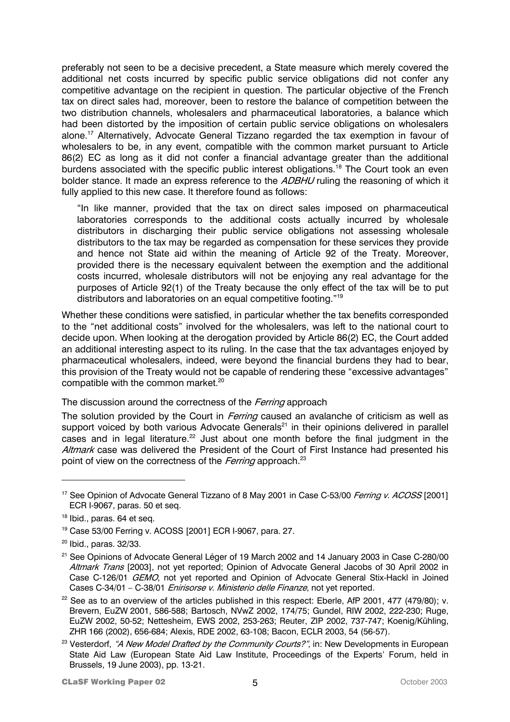preferably not seen to be a decisive precedent, a State measure which merely covered the additional net costs incurred by specific public service obligations did not confer any competitive advantage on the recipient in question. The particular objective of the French tax on direct sales had, moreover, been to restore the balance of competition between the two distribution channels, wholesalers and pharmaceutical laboratories, a balance which had been distorted by the imposition of certain public service obligations on wholesalers alone.17 Alternatively, Advocate General Tizzano regarded the tax exemption in favour of wholesalers to be, in any event, compatible with the common market pursuant to Article 86(2) EC as long as it did not confer a financial advantage greater than the additional burdens associated with the specific public interest obligations.<sup>18</sup> The Court took an even bolder stance. It made an express reference to the ADBHU ruling the reasoning of which it fully applied to this new case. It therefore found as follows:

"In like manner, provided that the tax on direct sales imposed on pharmaceutical laboratories corresponds to the additional costs actually incurred by wholesale distributors in discharging their public service obligations not assessing wholesale distributors to the tax may be regarded as compensation for these services they provide and hence not State aid within the meaning of Article 92 of the Treaty. Moreover, provided there is the necessary equivalent between the exemption and the additional costs incurred, wholesale distributors will not be enjoying any real advantage for the purposes of Article 92(1) of the Treaty because the only effect of the tax will be to put distributors and laboratories on an equal competitive footing."19

Whether these conditions were satisfied, in particular whether the tax benefits corresponded to the "net additional costs" involved for the wholesalers, was left to the national court to decide upon. When looking at the derogation provided by Article 86(2) EC, the Court added an additional interesting aspect to its ruling. In the case that the tax advantages enjoyed by pharmaceutical wholesalers, indeed, were beyond the financial burdens they had to bear, this provision of the Treaty would not be capable of rendering these "excessive advantages" compatible with the common market.<sup>20</sup>

The discussion around the correctness of the Ferring approach

The solution provided by the Court in *Ferring* caused an avalanche of criticism as well as support voiced by both various Advocate Generals<sup>21</sup> in their opinions delivered in parallel cases and in legal literature.<sup>22</sup> Just about one month before the final judgment in the Altmark case was delivered the President of the Court of First Instance had presented his point of view on the correctness of the Ferring approach.<sup>23</sup>

<sup>&</sup>lt;sup>17</sup> See Opinion of Advocate General Tizzano of 8 May 2001 in Case C-53/00 Ferring v. ACOSS [2001] ECR I-9067, paras. 50 et seq.

<sup>&</sup>lt;sup>18</sup> Ibid., paras. 64 et seq.

<sup>19</sup> Case 53/00 Ferring v. ACOSS [2001] ECR I-9067, para. 27.

 $20$  Ibid., paras, 32/33.

<sup>&</sup>lt;sup>21</sup> See Opinions of Advocate General Léger of 19 March 2002 and 14 January 2003 in Case C-280/00 Altmark Trans [2003], not yet reported; Opinion of Advocate General Jacobs of 30 April 2002 in Case C-126/01 *GEMO*, not yet reported and Opinion of Advocate General Stix-Hackl in Joined Cases C-34/01 - C-38/01 *Enirisorse v. Ministerio delle Finanze*, not yet reported.

 $22$  See as to an overview of the articles published in this respect: Eberle, AfP 2001, 477 (479/80); v. Brevern, EuZW 2001, 586-588; Bartosch, NVwZ 2002, 174/75; Gundel, RIW 2002, 222-230; Ruge, EuZW 2002, 50-52; Nettesheim, EWS 2002, 253-263; Reuter, ZIP 2002, 737-747; Koenig/Kühling, ZHR 166 (2002), 656-684; Alexis, RDE 2002, 63-108; Bacon, ECLR 2003, 54 (56-57).

<sup>&</sup>lt;sup>23</sup> Vesterdorf, "A New Model Drafted by the Community Courts?", in: New Developments in European State Aid Law (European State Aid Law Institute, Proceedings of the Experts' Forum, held in Brussels, 19 June 2003), pp. 13-21.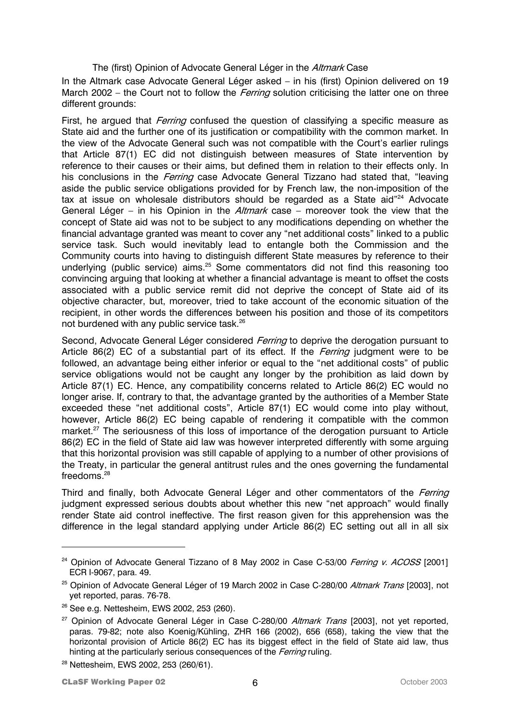### The (first) Opinion of Advocate General Léger in the Altmark Case

In the Altmark case Advocate General Léger asked – in his (first) Opinion delivered on 19 March 2002 – the Court not to follow the *Ferring* solution criticising the latter one on three different grounds:

First, he arqued that *Ferring* confused the question of classifying a specific measure as State aid and the further one of its justification or compatibility with the common market. In the view of the Advocate General such was not compatible with the Court's earlier rulings that Article 87(1) EC did not distinguish between measures of State intervention by reference to their causes or their aims, but defined them in relation to their effects only. In his conclusions in the *Ferring* case Advocate General Tizzano had stated that, "leaving aside the public service obligations provided for by French law, the non-imposition of the tax at issue on wholesale distributors should be regarded as a State aid"<sup>24</sup> Advocate General Léger – in his Opinion in the Altmark case – moreover took the view that the concept of State aid was not to be subject to any modifications depending on whether the financial advantage granted was meant to cover any "net additional costs" linked to a public service task. Such would inevitably lead to entangle both the Commission and the Community courts into having to distinguish different State measures by reference to their underlying (public service) aims.<sup>25</sup> Some commentators did not find this reasoning too convincing arguing that looking at whether a financial advantage is meant to offset the costs associated with a public service remit did not deprive the concept of State aid of its objective character, but, moreover, tried to take account of the economic situation of the recipient, in other words the differences between his position and those of its competitors not burdened with any public service task.26

Second, Advocate General Léger considered *Ferring* to deprive the derogation pursuant to Article 86(2) EC of a substantial part of its effect. If the *Ferring* judgment were to be followed, an advantage being either inferior or equal to the "net additional costs" of public service obligations would not be caught any longer by the prohibition as laid down by Article 87(1) EC. Hence, any compatibility concerns related to Article 86(2) EC would no longer arise. If, contrary to that, the advantage granted by the authorities of a Member State exceeded these "net additional costs", Article 87(1) EC would come into play without, however, Article 86(2) EC being capable of rendering it compatible with the common market.<sup>27</sup> The seriousness of this loss of importance of the derogation pursuant to Article 86(2) EC in the field of State aid law was however interpreted differently with some arguing that this horizontal provision was still capable of applying to a number of other provisions of the Treaty, in particular the general antitrust rules and the ones governing the fundamental freedoms. 28

Third and finally, both Advocate General Léger and other commentators of the Ferring judgment expressed serious doubts about whether this new "net approach" would finally render State aid control ineffective. The first reason given for this apprehension was the difference in the legal standard applying under Article 86(2) EC setting out all in all six

 $24$  Opinion of Advocate General Tizzano of 8 May 2002 in Case C-53/00 Ferring v. ACOSS [2001] ECR I-9067, para. 49.

<sup>&</sup>lt;sup>25</sup> Opinion of Advocate General Léger of 19 March 2002 in Case C-280/00 Altmark Trans [2003], not yet reported, paras. 76-78.

<sup>26</sup> See e.g. Nettesheim, EWS 2002, 253 (260).

 $27$  Opinion of Advocate General Léger in Case C-280/00 Altmark Trans [2003], not yet reported, paras. 79-82; note also Koenig/Kühling, ZHR 166 (2002), 656 (658), taking the view that the horizontal provision of Article 86(2) EC has its biggest effect in the field of State aid law, thus hinting at the particularly serious consequences of the *Ferring* ruling.

<sup>&</sup>lt;sup>28</sup> Nettesheim, EWS 2002, 253 (260/61).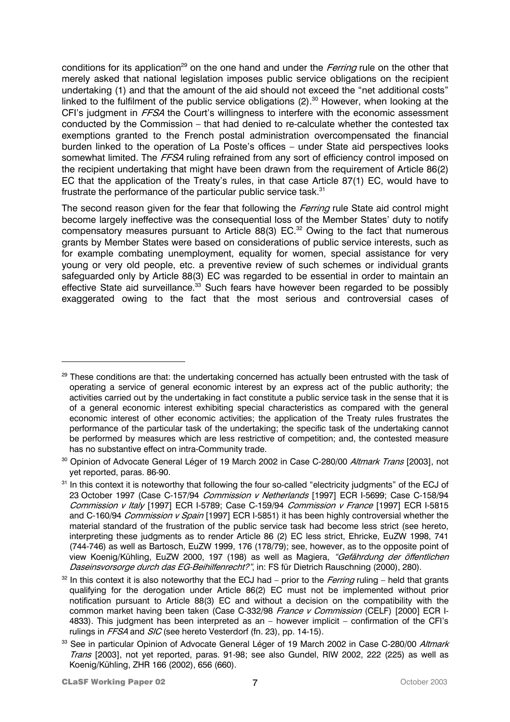conditions for its application<sup>29</sup> on the one hand and under the *Ferring* rule on the other that merely asked that national legislation imposes public service obligations on the recipient undertaking (1) and that the amount of the aid should not exceed the "net additional costs" linked to the fulfilment of the public service obligations (2).<sup>30</sup> However, when looking at the CFI's judgment in FFSA the Court's willingness to interfere with the economic assessment conducted by the Commission – that had denied to re-calculate whether the contested tax exemptions granted to the French postal administration overcompensated the financial burden linked to the operation of La Poste's offices – under State aid perspectives looks somewhat limited. The FFSA ruling refrained from any sort of efficiency control imposed on the recipient undertaking that might have been drawn from the requirement of Article 86(2) EC that the application of the Treaty's rules, in that case Article 87(1) EC, would have to frustrate the performance of the particular public service task.<sup>31</sup>

The second reason given for the fear that following the *Ferring* rule State aid control might become largely ineffective was the consequential loss of the Member States' duty to notify compensatory measures pursuant to Article 88(3) EC.<sup>32</sup> Owing to the fact that numerous grants by Member States were based on considerations of public service interests, such as for example combating unemployment, equality for women, special assistance for very young or very old people, etc. a preventive review of such schemes or individual grants safeguarded only by Article 88(3) EC was regarded to be essential in order to maintain an effective State aid surveillance.<sup>33</sup> Such fears have however been regarded to be possibly exaggerated owing to the fact that the most serious and controversial cases of

<sup>&</sup>lt;sup>29</sup> These conditions are that: the undertaking concerned has actually been entrusted with the task of operating a service of general economic interest by an express act of the public authority; the activities carried out by the undertaking in fact constitute a public service task in the sense that it is of a general economic interest exhibiting special characteristics as compared with the general economic interest of other economic activities; the application of the Treaty rules frustrates the performance of the particular task of the undertaking; the specific task of the undertaking cannot be performed by measures which are less restrictive of competition; and, the contested measure has no substantive effect on intra-Community trade.

<sup>&</sup>lt;sup>30</sup> Opinion of Advocate General Léger of 19 March 2002 in Case C-280/00 Altmark Trans [2003], not yet reported, paras. 86-90.

<sup>&</sup>lt;sup>31</sup> In this context it is noteworthy that following the four so-called "electricity judgments" of the ECJ of 23 October 1997 (Case C-157/94 Commission v Netherlands [1997] ECR I-5699; Case C-158/94 Commission v Italy [1997] ECR I-5789; Case C-159/94 Commission v France [1997] ECR I-5815 and C-160/94 Commission v Spain [1997] ECR I-5851) it has been highly controversial whether the material standard of the frustration of the public service task had become less strict (see hereto, interpreting these judgments as to render Article 86 (2) EC less strict, Ehricke, EuZW 1998, 741 (744-746) as well as Bartosch, EuZW 1999, 176 (178/79); see, however, as to the opposite point of view Koenig/Kühling, EuZW 2000, 197 (198) as well as Magiera, "Gefährdung der öffentlichen Daseinsvorsorge durch das EG-Beihilfenrecht?", in: FS für Dietrich Rauschning (2000), 280).

 $32$  In this context it is also noteworthy that the ECJ had – prior to the *Ferring* ruling – held that grants qualifying for the derogation under Article 86(2) EC must not be implemented without prior notification pursuant to Article 88(3) EC and without a decision on the compatibility with the common market having been taken (Case C-332/98 France v Commission (CELF) [2000] ECR I-4833). This judgment has been interpreted as an – however implicit – confirmation of the CFI's rulings in FFSA and SIC (see hereto Vesterdorf (fn. 23), pp. 14-15).

<sup>&</sup>lt;sup>33</sup> See in particular Opinion of Advocate General Léger of 19 March 2002 in Case C-280/00 *Altmark* Trans [2003], not yet reported, paras. 91-98; see also Gundel, RIW 2002, 222 (225) as well as Koenig/Kühling, ZHR 166 (2002), 656 (660).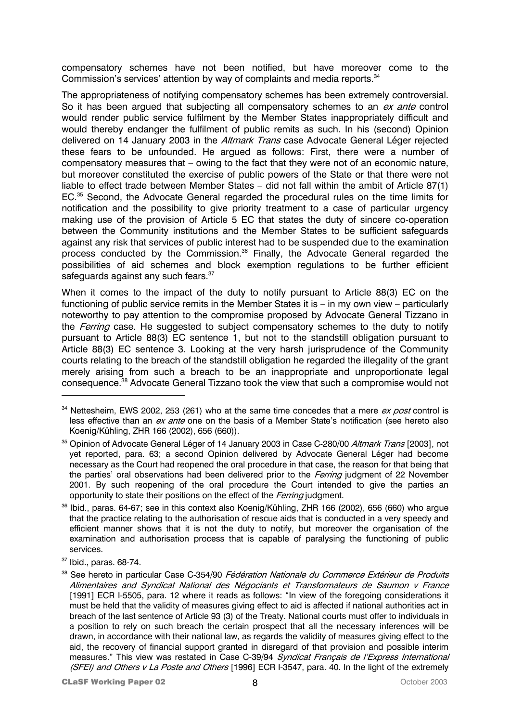compensatory schemes have not been notified, but have moreover come to the Commission's services' attention by way of complaints and media reports.<sup>34</sup>

The appropriateness of notifying compensatory schemes has been extremely controversial. So it has been argued that subjecting all compensatory schemes to an ex ante control would render public service fulfilment by the Member States inappropriately difficult and would thereby endanger the fulfilment of public remits as such. In his (second) Opinion delivered on 14 January 2003 in the Altmark Trans case Advocate General Léger rejected these fears to be unfounded. He argued as follows: First, there were a number of compensatory measures that – owing to the fact that they were not of an economic nature, but moreover constituted the exercise of public powers of the State or that there were not liable to effect trade between Member States – did not fall within the ambit of Article 87(1) EC.35 Second, the Advocate General regarded the procedural rules on the time limits for notification and the possibility to give priority treatment to a case of particular urgency making use of the provision of Article 5 EC that states the duty of sincere co-operation between the Community institutions and the Member States to be sufficient safeguards against any risk that services of public interest had to be suspended due to the examination process conducted by the Commission.36 Finally, the Advocate General regarded the possibilities of aid schemes and block exemption regulations to be further efficient safeguards against any such fears.<sup>37</sup>

When it comes to the impact of the duty to notify pursuant to Article 88(3) EC on the functioning of public service remits in the Member States it is – in my own view – particularly noteworthy to pay attention to the compromise proposed by Advocate General Tizzano in the *Ferring* case. He suggested to subject compensatory schemes to the duty to notify pursuant to Article 88(3) EC sentence 1, but not to the standstill obligation pursuant to Article 88(3) EC sentence 3. Looking at the very harsh jurisprudence of the Community courts relating to the breach of the standstill obligation he regarded the illegality of the grant merely arising from such a breach to be an inappropriate and unproportionate legal consequence.38 Advocate General Tizzano took the view that such a compromise would not

37 Ibid., paras. 68-74.

 $34$  Nettesheim, EWS 2002, 253 (261) who at the same time concedes that a mere ex post control is less effective than an ex ante one on the basis of a Member State's notification (see hereto also Koenig/Kühling, ZHR 166 (2002), 656 (660)).

<sup>&</sup>lt;sup>35</sup> Opinion of Advocate General Léger of 14 January 2003 in Case C-280/00 Altmark Trans [2003], not yet reported, para. 63; a second Opinion delivered by Advocate General Léger had become necessary as the Court had reopened the oral procedure in that case, the reason for that being that the parties' oral observations had been delivered prior to the *Ferring* judgment of 22 November 2001. By such reopening of the oral procedure the Court intended to give the parties an opportunity to state their positions on the effect of the Ferring judgment.

<sup>36</sup> Ibid., paras. 64-67; see in this context also Koenig/Kühling, ZHR 166 (2002), 656 (660) who argue that the practice relating to the authorisation of rescue aids that is conducted in a very speedy and efficient manner shows that it is not the duty to notify, but moreover the organisation of the examination and authorisation process that is capable of paralysing the functioning of public services.

<sup>&</sup>lt;sup>38</sup> See hereto in particular Case C-354/90 Fédération Nationale du Commerce Extérieur de Produits Alimentaires and Syndicat National des Négociants et Transformateurs de Saumon v France [1991] ECR I-5505, para. 12 where it reads as follows: "In view of the foregoing considerations it must be held that the validity of measures giving effect to aid is affected if national authorities act in breach of the last sentence of Article 93 (3) of the Treaty. National courts must offer to individuals in a position to rely on such breach the certain prospect that all the necessary inferences will be drawn, in accordance with their national law, as regards the validity of measures giving effect to the aid, the recovery of financial support granted in disregard of that provision and possible interim measures." This view was restated in Case C-39/94 Syndicat Francais de l'Express International (SFEI) and Others v La Poste and Others [1996] ECR I-3547, para. 40. In the light of the extremely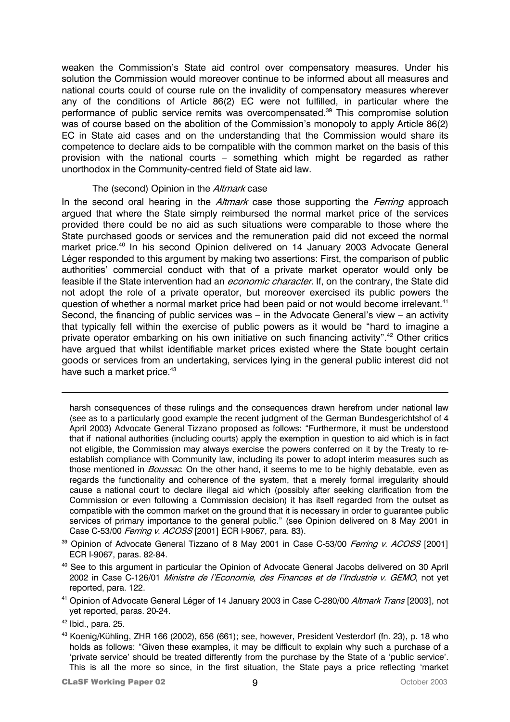weaken the Commission's State aid control over compensatory measures. Under his solution the Commission would moreover continue to be informed about all measures and national courts could of course rule on the invalidity of compensatory measures wherever any of the conditions of Article 86(2) EC were not fulfilled, in particular where the performance of public service remits was overcompensated.39 This compromise solution was of course based on the abolition of the Commission's monopoly to apply Article 86(2) EC in State aid cases and on the understanding that the Commission would share its competence to declare aids to be compatible with the common market on the basis of this provision with the national courts – something which might be regarded as rather unorthodox in the Community-centred field of State aid law.

#### The (second) Opinion in the *Altmark* case

In the second oral hearing in the *Altmark* case those supporting the *Ferring* approach argued that where the State simply reimbursed the normal market price of the services provided there could be no aid as such situations were comparable to those where the State purchased goods or services and the remuneration paid did not exceed the normal market price.<sup>40</sup> In his second Opinion delivered on 14 January 2003 Advocate General Léger responded to this argument by making two assertions: First, the comparison of public authorities' commercial conduct with that of a private market operator would only be feasible if the State intervention had an *economic character*. If, on the contrary, the State did not adopt the role of a private operator, but moreover exercised its public powers the question of whether a normal market price had been paid or not would become irrelevant.<sup>41</sup> Second, the financing of public services was – in the Advocate General's view – an activity that typically fell within the exercise of public powers as it would be "hard to imagine a private operator embarking on his own initiative on such financing activity".<sup>42</sup> Other critics have argued that whilst identifiable market prices existed where the State bought certain goods or services from an undertaking, services lying in the general public interest did not have such a market price.<sup>43</sup>

harsh consequences of these rulings and the consequences drawn herefrom under national law (see as to a particularly good example the recent judgment of the German Bundesgerichtshof of 4 April 2003) Advocate General Tizzano proposed as follows: "Furthermore, it must be understood that if national authorities (including courts) apply the exemption in question to aid which is in fact not eligible, the Commission may always exercise the powers conferred on it by the Treaty to reestablish compliance with Community law, including its power to adopt interim measures such as those mentioned in *Boussac*. On the other hand, it seems to me to be highly debatable, even as regards the functionality and coherence of the system, that a merely formal irregularity should cause a national court to declare illegal aid which (possibly after seeking clarification from the Commission or even following a Commission decision) it has itself regarded from the outset as compatible with the common market on the ground that it is necessary in order to guarantee public services of primary importance to the general public." (see Opinion delivered on 8 May 2001 in Case C-53/00 Ferring v. ACOSS [2001] ECR I-9067, para. 83).

- <sup>39</sup> Opinion of Advocate General Tizzano of 8 May 2001 in Case C-53/00 Ferring v. ACOSS [2001] ECR I-9067, paras. 82-84.
- <sup>40</sup> See to this argument in particular the Opinion of Advocate General Jacobs delivered on 30 April 2002 in Case C-126/01 Ministre de l'Economie, des Finances et de l'Industrie v. GEMO, not yet reported, para. 122.
- <sup>41</sup> Opinion of Advocate General Léger of 14 January 2003 in Case C-280/00 Altmark Trans [2003], not yet reported, paras. 20-24.

 $\overline{a}$ 

43 Koenig/Kühling, ZHR 166 (2002), 656 (661); see, however, President Vesterdorf (fn. 23), p. 18 who holds as follows: "Given these examples, it may be difficult to explain why such a purchase of a 'private service' should be treated differently from the purchase by the State of a 'public service'. This is all the more so since, in the first situation, the State pays a price reflecting 'market

 $42$  Ibid., para. 25.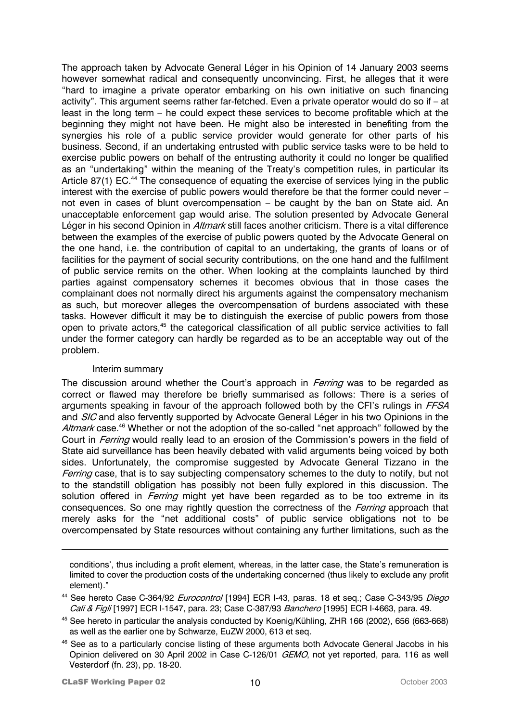The approach taken by Advocate General Léger in his Opinion of 14 January 2003 seems however somewhat radical and consequently unconvincing. First, he alleges that it were "hard to imagine a private operator embarking on his own initiative on such financing activity". This argument seems rather far-fetched. Even a private operator would do so if – at least in the long term – he could expect these services to become profitable which at the beginning they might not have been. He might also be interested in benefiting from the synergies his role of a public service provider would generate for other parts of his business. Second, if an undertaking entrusted with public service tasks were to be held to exercise public powers on behalf of the entrusting authority it could no longer be qualified as an "undertaking" within the meaning of the Treaty's competition rules, in particular its Article 87(1) EC.<sup>44</sup> The consequence of equating the exercise of services lying in the public interest with the exercise of public powers would therefore be that the former could never – not even in cases of blunt overcompensation – be caught by the ban on State aid. An unacceptable enforcement gap would arise. The solution presented by Advocate General Léger in his second Opinion in *Altmark* still faces another criticism. There is a vital difference between the examples of the exercise of public powers quoted by the Advocate General on the one hand, i.e. the contribution of capital to an undertaking, the grants of loans or of facilities for the payment of social security contributions, on the one hand and the fulfilment of public service remits on the other. When looking at the complaints launched by third parties against compensatory schemes it becomes obvious that in those cases the complainant does not normally direct his arguments against the compensatory mechanism as such, but moreover alleges the overcompensation of burdens associated with these tasks. However difficult it may be to distinguish the exercise of public powers from those open to private actors,<sup>45</sup> the categorical classification of all public service activities to fall under the former category can hardly be regarded as to be an acceptable way out of the problem.

#### Interim summary

The discussion around whether the Court's approach in *Ferring* was to be regarded as correct or flawed may therefore be briefly summarised as follows: There is a series of arguments speaking in favour of the approach followed both by the CFI's rulings in FFSA and SIC and also fervently supported by Advocate General Léger in his two Opinions in the Altmark case.<sup>46</sup> Whether or not the adoption of the so-called "net approach" followed by the Court in Ferring would really lead to an erosion of the Commission's powers in the field of State aid surveillance has been heavily debated with valid arguments being voiced by both sides. Unfortunately, the compromise suggested by Advocate General Tizzano in the Ferring case, that is to say subjecting compensatory schemes to the duty to notify, but not to the standstill obligation has possibly not been fully explored in this discussion. The solution offered in *Ferring* might yet have been regarded as to be too extreme in its consequences. So one may rightly question the correctness of the *Ferring* approach that merely asks for the "net additional costs" of public service obligations not to be overcompensated by State resources without containing any further limitations, such as the

conditions', thus including a profit element, whereas, in the latter case, the State's remuneration is limited to cover the production costs of the undertaking concerned (thus likely to exclude any profit element)."

<sup>44</sup> See hereto Case C-364/92 *Eurocontrol* [1994] ECR I-43, paras. 18 et seq.; Case C-343/95 *Diego* Cali & Figli [1997] ECR I-1547, para. 23; Case C-387/93 Banchero [1995] ECR I-4663, para. 49.

45 See hereto in particular the analysis conducted by Koenig/Kühling, ZHR 166 (2002), 656 (663-668) as well as the earlier one by Schwarze, EuZW 2000, 613 et seq.

<sup>46</sup> See as to a particularly concise listing of these arguments both Advocate General Jacobs in his Opinion delivered on 30 April 2002 in Case C-126/01 *GEMO*, not yet reported, para. 116 as well Vesterdorf (fn. 23), pp. 18-20.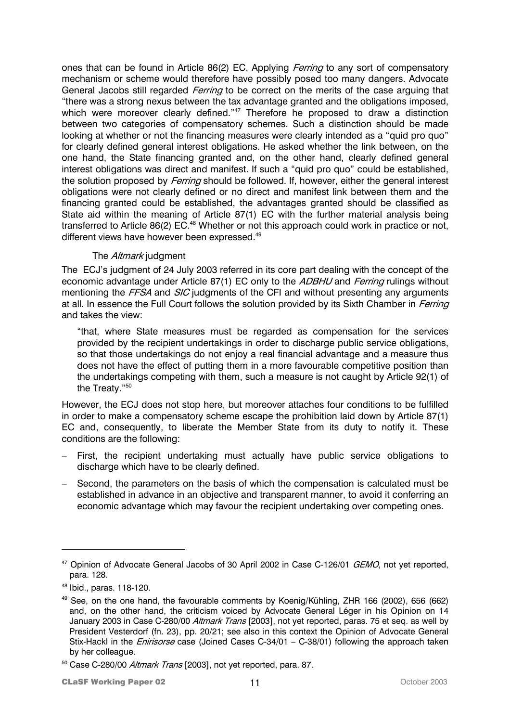ones that can be found in Article 86(2) EC. Applying *Ferring* to any sort of compensatory mechanism or scheme would therefore have possibly posed too many dangers. Advocate General Jacobs still regarded *Ferring* to be correct on the merits of the case arguing that "there was a strong nexus between the tax advantage granted and the obligations imposed, which were moreover clearly defined."<sup>47</sup> Therefore he proposed to draw a distinction between two categories of compensatory schemes. Such a distinction should be made looking at whether or not the financing measures were clearly intended as a "quid pro quo" for clearly defined general interest obligations. He asked whether the link between, on the one hand, the State financing granted and, on the other hand, clearly defined general interest obligations was direct and manifest. If such a "quid pro quo" could be established, the solution proposed by *Ferring* should be followed. If, however, either the general interest obligations were not clearly defined or no direct and manifest link between them and the financing granted could be established, the advantages granted should be classified as State aid within the meaning of Article 87(1) EC with the further material analysis being transferred to Article 86(2) EC.<sup>48</sup> Whether or not this approach could work in practice or not, different views have however been expressed.<sup>49</sup>

## The Altmark judgment

The ECJ's judgment of 24 July 2003 referred in its core part dealing with the concept of the economic advantage under Article 87(1) EC only to the ADBHU and Ferring rulings without mentioning the FFSA and SIC judgments of the CFI and without presenting any arguments at all. In essence the Full Court follows the solution provided by its Sixth Chamber in Ferring and takes the view:

"that, where State measures must be regarded as compensation for the services provided by the recipient undertakings in order to discharge public service obligations, so that those undertakings do not enjoy a real financial advantage and a measure thus does not have the effect of putting them in a more favourable competitive position than the undertakings competing with them, such a measure is not caught by Article 92(1) of the Treaty."50

However, the ECJ does not stop here, but moreover attaches four conditions to be fulfilled in order to make a compensatory scheme escape the prohibition laid down by Article 87(1) EC and, consequently, to liberate the Member State from its duty to notify it. These conditions are the following:

- First, the recipient undertaking must actually have public service obligations to discharge which have to be clearly defined.
- − Second, the parameters on the basis of which the compensation is calculated must be established in advance in an objective and transparent manner, to avoid it conferring an economic advantage which may favour the recipient undertaking over competing ones.

<sup>&</sup>lt;sup>47</sup> Opinion of Advocate General Jacobs of 30 April 2002 in Case C-126/01 GEMO, not yet reported, para. 128.

<sup>48</sup> Ibid., paras. 118-120.

<sup>&</sup>lt;sup>49</sup> See, on the one hand, the favourable comments by Koenig/Kühling, ZHR 166 (2002), 656 (662) and, on the other hand, the criticism voiced by Advocate General Léger in his Opinion on 14 January 2003 in Case C-280/00 Altmark Trans [2003], not yet reported, paras. 75 et seq. as well by President Vesterdorf (fn. 23), pp. 20/21; see also in this context the Opinion of Advocate General Stix-Hackl in the *Enirisorse* case (Joined Cases C-34/01 – C-38/01) following the approach taken by her colleague.

<sup>&</sup>lt;sup>50</sup> Case C-280/00 Altmark Trans [2003], not yet reported, para. 87.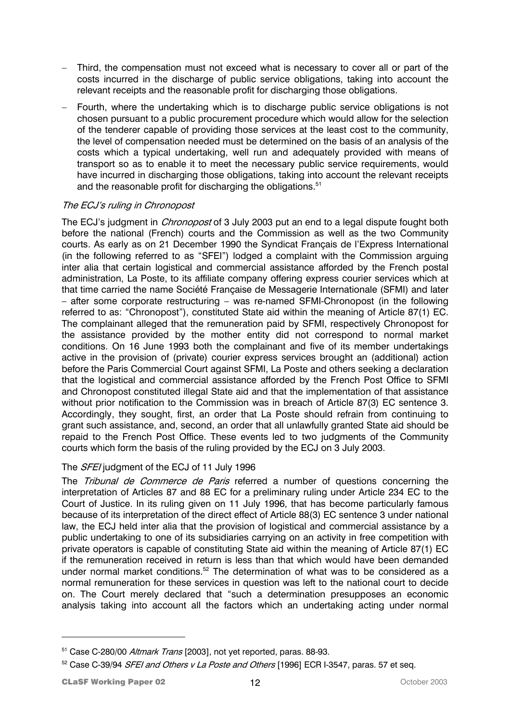- Third, the compensation must not exceed what is necessary to cover all or part of the costs incurred in the discharge of public service obligations, taking into account the relevant receipts and the reasonable profit for discharging those obligations.
- Fourth, where the undertaking which is to discharge public service obligations is not chosen pursuant to a public procurement procedure which would allow for the selection of the tenderer capable of providing those services at the least cost to the community, the level of compensation needed must be determined on the basis of an analysis of the costs which a typical undertaking, well run and adequately provided with means of transport so as to enable it to meet the necessary public service requirements, would have incurred in discharging those obligations, taking into account the relevant receipts and the reasonable profit for discharging the obligations.<sup>51</sup>

# The ECJ's ruling in Chronopost

The ECJ's judgment in *Chronopost* of 3 July 2003 put an end to a legal dispute fought both before the national (French) courts and the Commission as well as the two Community courts. As early as on 21 December 1990 the Syndicat Français de l'Express International (in the following referred to as "SFEI") lodged a complaint with the Commission arguing inter alia that certain logistical and commercial assistance afforded by the French postal administration, La Poste, to its affiliate company offering express courier services which at that time carried the name Société Française de Messagerie Internationale (SFMI) and later – after some corporate restructuring – was re-named SFMI-Chronopost (in the following referred to as: "Chronopost"), constituted State aid within the meaning of Article 87(1) EC. The complainant alleged that the remuneration paid by SFMI, respectively Chronopost for the assistance provided by the mother entity did not correspond to normal market conditions. On 16 June 1993 both the complainant and five of its member undertakings active in the provision of (private) courier express services brought an (additional) action before the Paris Commercial Court against SFMI, La Poste and others seeking a declaration that the logistical and commercial assistance afforded by the French Post Office to SFMI and Chronopost constituted illegal State aid and that the implementation of that assistance without prior notification to the Commission was in breach of Article 87(3) EC sentence 3. Accordingly, they sought, first, an order that La Poste should refrain from continuing to grant such assistance, and, second, an order that all unlawfully granted State aid should be repaid to the French Post Office. These events led to two judgments of the Community courts which form the basis of the ruling provided by the ECJ on 3 July 2003.

# The SFEI judgment of the ECJ of 11 July 1996

The *Tribunal de Commerce de Paris* referred a number of questions concerning the interpretation of Articles 87 and 88 EC for a preliminary ruling under Article 234 EC to the Court of Justice. In its ruling given on 11 July 1996, that has become particularly famous because of its interpretation of the direct effect of Article 88(3) EC sentence 3 under national law, the ECJ held inter alia that the provision of logistical and commercial assistance by a public undertaking to one of its subsidiaries carrying on an activity in free competition with private operators is capable of constituting State aid within the meaning of Article 87(1) EC if the remuneration received in return is less than that which would have been demanded under normal market conditions.<sup>52</sup> The determination of what was to be considered as a normal remuneration for these services in question was left to the national court to decide on. The Court merely declared that "such a determination presupposes an economic analysis taking into account all the factors which an undertaking acting under normal

<sup>&</sup>lt;sup>51</sup> Case C-280/00 Altmark Trans [2003], not yet reported, paras. 88-93.

<sup>&</sup>lt;sup>52</sup> Case C-39/94 *SFEI and Others v La Poste and Others* [1996] ECR I-3547, paras. 57 et seq.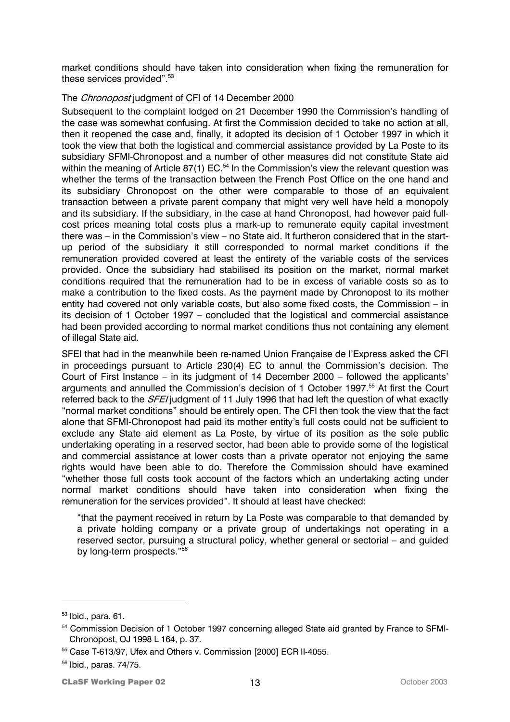market conditions should have taken into consideration when fixing the remuneration for these services provided".<sup>53</sup>

#### The *Chronopost* judgment of CFI of 14 December 2000

Subsequent to the complaint lodged on 21 December 1990 the Commission's handling of the case was somewhat confusing. At first the Commission decided to take no action at all, then it reopened the case and, finally, it adopted its decision of 1 October 1997 in which it took the view that both the logistical and commercial assistance provided by La Poste to its subsidiary SFMI-Chronopost and a number of other measures did not constitute State aid within the meaning of Article 87(1) EC.<sup>54</sup> In the Commission's view the relevant question was whether the terms of the transaction between the French Post Office on the one hand and its subsidiary Chronopost on the other were comparable to those of an equivalent transaction between a private parent company that might very well have held a monopoly and its subsidiary. If the subsidiary, in the case at hand Chronopost, had however paid fullcost prices meaning total costs plus a mark-up to remunerate equity capital investment there was – in the Commission's view – no State aid. It furtheron considered that in the startup period of the subsidiary it still corresponded to normal market conditions if the remuneration provided covered at least the entirety of the variable costs of the services provided. Once the subsidiary had stabilised its position on the market, normal market conditions required that the remuneration had to be in excess of variable costs so as to make a contribution to the fixed costs. As the payment made by Chronopost to its mother entity had covered not only variable costs, but also some fixed costs, the Commission – in its decision of 1 October 1997 – concluded that the logistical and commercial assistance had been provided according to normal market conditions thus not containing any element of illegal State aid.

SFEI that had in the meanwhile been re-named Union Française de l'Express asked the CFI in proceedings pursuant to Article 230(4) EC to annul the Commission's decision. The Court of First Instance – in its judgment of 14 December 2000 – followed the applicants' arguments and annulled the Commission's decision of 1 October 1997.<sup>55</sup> At first the Court referred back to the *SFEI* judgment of 11 July 1996 that had left the question of what exactly "normal market conditions" should be entirely open. The CFI then took the view that the fact alone that SFMI-Chronopost had paid its mother entity's full costs could not be sufficient to exclude any State aid element as La Poste, by virtue of its position as the sole public undertaking operating in a reserved sector, had been able to provide some of the logistical and commercial assistance at lower costs than a private operator not enjoying the same rights would have been able to do. Therefore the Commission should have examined "whether those full costs took account of the factors which an undertaking acting under normal market conditions should have taken into consideration when fixing the remuneration for the services provided". It should at least have checked:

"that the payment received in return by La Poste was comparable to that demanded by a private holding company or a private group of undertakings not operating in a reserved sector, pursuing a structural policy, whether general or sectorial – and guided by long-term prospects."56

 $53$  Ibid., para. 61.

<sup>&</sup>lt;sup>54</sup> Commission Decision of 1 October 1997 concerning alleged State aid granted by France to SFMI-Chronopost, OJ 1998 L 164, p. 37.

<sup>55</sup> Case T-613/97, Ufex and Others v. Commission [2000] ECR II-4055.

<sup>56</sup> Ibid., paras. 74/75.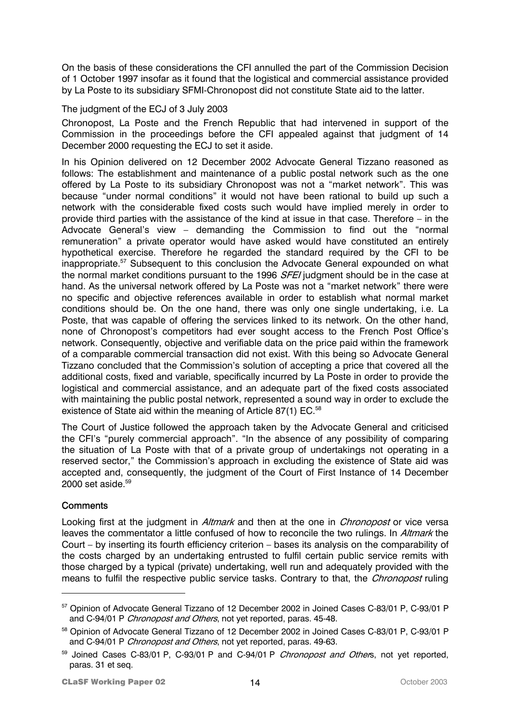On the basis of these considerations the CFI annulled the part of the Commission Decision of 1 October 1997 insofar as it found that the logistical and commercial assistance provided by La Poste to its subsidiary SFMI-Chronopost did not constitute State aid to the latter.

## The judgment of the ECJ of 3 July 2003

Chronopost, La Poste and the French Republic that had intervened in support of the Commission in the proceedings before the CFI appealed against that judgment of 14 December 2000 requesting the ECJ to set it aside.

In his Opinion delivered on 12 December 2002 Advocate General Tizzano reasoned as follows: The establishment and maintenance of a public postal network such as the one offered by La Poste to its subsidiary Chronopost was not a "market network". This was because "under normal conditions" it would not have been rational to build up such a network with the considerable fixed costs such would have implied merely in order to provide third parties with the assistance of the kind at issue in that case. Therefore – in the Advocate General's view – demanding the Commission to find out the "normal remuneration" a private operator would have asked would have constituted an entirely hypothetical exercise. Therefore he regarded the standard required by the CFI to be inappropriate.<sup>57</sup> Subsequent to this conclusion the Advocate General expounded on what the normal market conditions pursuant to the 1996 SFEI judgment should be in the case at hand. As the universal network offered by La Poste was not a "market network" there were no specific and objective references available in order to establish what normal market conditions should be. On the one hand, there was only one single undertaking, i.e. La Poste, that was capable of offering the services linked to its network. On the other hand, none of Chronopost's competitors had ever sought access to the French Post Office's network. Consequently, objective and verifiable data on the price paid within the framework of a comparable commercial transaction did not exist. With this being so Advocate General Tizzano concluded that the Commission's solution of accepting a price that covered all the additional costs, fixed and variable, specifically incurred by La Poste in order to provide the logistical and commercial assistance, and an adequate part of the fixed costs associated with maintaining the public postal network, represented a sound way in order to exclude the existence of State aid within the meaning of Article 87(1) EC.<sup>58</sup>

The Court of Justice followed the approach taken by the Advocate General and criticised the CFI's "purely commercial approach". "In the absence of any possibility of comparing the situation of La Poste with that of a private group of undertakings not operating in a reserved sector," the Commission's approach in excluding the existence of State aid was accepted and, consequently, the judgment of the Court of First Instance of 14 December  $2000$  set aside.<sup>59</sup>

## **Comments**

 $\overline{a}$ 

Looking first at the judgment in *Altmark* and then at the one in *Chronopost* or vice versa leaves the commentator a little confused of how to reconcile the two rulings. In *Altmark* the Court – by inserting its fourth efficiency criterion – bases its analysis on the comparability of the costs charged by an undertaking entrusted to fulfil certain public service remits with those charged by a typical (private) undertaking, well run and adequately provided with the means to fulfil the respective public service tasks. Contrary to that, the *Chronopost* ruling

<sup>57</sup> Opinion of Advocate General Tizzano of 12 December 2002 in Joined Cases C-83/01 P, C-93/01 P and C-94/01 P Chronopost and Others, not yet reported, paras. 45-48.

<sup>&</sup>lt;sup>58</sup> Opinion of Advocate General Tizzano of 12 December 2002 in Joined Cases C-83/01 P, C-93/01 P and C-94/01 P Chronopost and Others, not yet reported, paras. 49-63.

<sup>59</sup> Joined Cases C-83/01 P, C-93/01 P and C-94/01 P Chronopost and Others, not yet reported, paras. 31 et seq.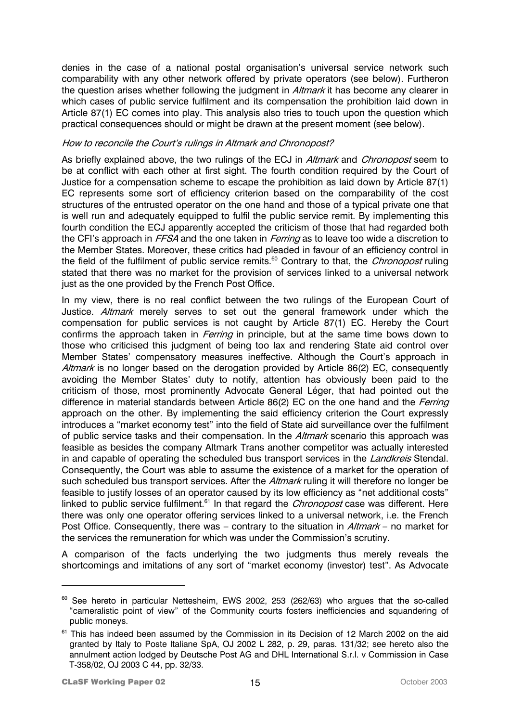denies in the case of a national postal organisation's universal service network such comparability with any other network offered by private operators (see below). Furtheron the question arises whether following the judgment in *Altmark* it has become any clearer in which cases of public service fulfilment and its compensation the prohibition laid down in Article 87(1) EC comes into play. This analysis also tries to touch upon the question which practical consequences should or might be drawn at the present moment (see below).

#### How to reconcile the Court's rulings in Altmark and Chronopost?

As briefly explained above, the two rulings of the ECJ in *Altmark* and *Chronopost* seem to be at conflict with each other at first sight. The fourth condition required by the Court of Justice for a compensation scheme to escape the prohibition as laid down by Article 87(1) EC represents some sort of efficiency criterion based on the comparability of the cost structures of the entrusted operator on the one hand and those of a typical private one that is well run and adequately equipped to fulfil the public service remit. By implementing this fourth condition the ECJ apparently accepted the criticism of those that had regarded both the CFI's approach in FFSA and the one taken in Ferring as to leave too wide a discretion to the Member States. Moreover, these critics had pleaded in favour of an efficiency control in the field of the fulfilment of public service remits.<sup>60</sup> Contrary to that, the *Chronopost* ruling stated that there was no market for the provision of services linked to a universal network just as the one provided by the French Post Office.

Justice. Altmark merely serves to set out the general framework under which the In my view, there is no real conflict between the two rulings of the European Court of compensation for public services is not caught by Article 87(1) EC. Hereby the Court confirms the approach taken in *Ferring* in principle, but at the same time bows down to those who criticised this judgment of being too lax and rendering State aid control over Member States' compensatory measures ineffective. Although the Court's approach in Altmark is no longer based on the derogation provided by Article 86(2) EC, consequently avoiding the Member States' duty to notify, attention has obviously been paid to the criticism of those, most prominently Advocate General Léger, that had pointed out the difference in material standards between Article 86(2) EC on the one hand and the *Ferring* approach on the other. By implementing the said efficiency criterion the Court expressly introduces a "market economy test" into the field of State aid surveillance over the fulfilment of public service tasks and their compensation. In the *Altmark* scenario this approach was feasible as besides the company Altmark Trans another competitor was actually interested in and capable of operating the scheduled bus transport services in the *Landkreis* Stendal. Consequently, the Court was able to assume the existence of a market for the operation of such scheduled bus transport services. After the Altmark ruling it will therefore no longer be feasible to justify losses of an operator caused by its low efficiency as "net additional costs" linked to public service fulfilment.<sup>61</sup> In that regard the *Chronopost* case was different. Here there was only one operator offering services linked to a universal network, i.e. the French Post Office. Consequently, there was – contrary to the situation in *Altmark* – no market for the services the remuneration for which was under the Commission's scrutiny.

A comparison of the facts underlying the two judgments thus merely reveals the shortcomings and imitations of any sort of "market economy (investor) test". As Advocate

 $60$  See hereto in particular Nettesheim, EWS 2002, 253 (262/63) who arques that the so-called "cameralistic point of view" of the Community courts fosters inefficiencies and squandering of public moneys.

 $61$  This has indeed been assumed by the Commission in its Decision of 12 March 2002 on the aid granted by Italy to Poste Italiane SpA, OJ 2002 L 282, p. 29, paras. 131/32; see hereto also the annulment action lodged by Deutsche Post AG and DHL International S.r.l. v Commission in Case T-358/02, OJ 2003 C 44, pp. 32/33.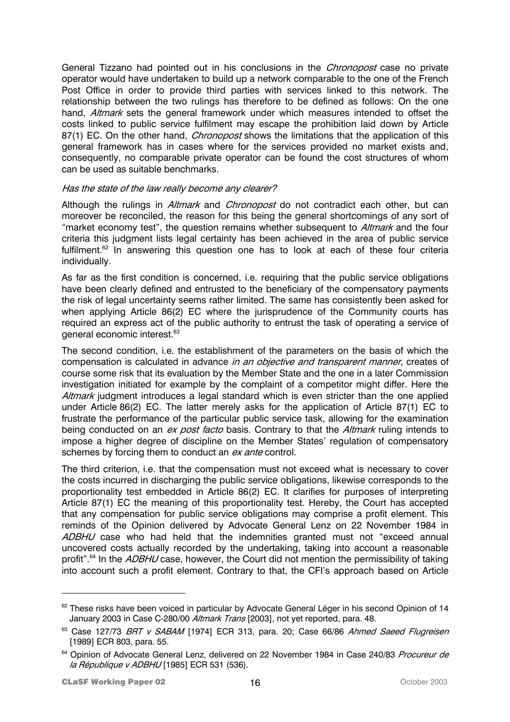General Tizzano had pointed out in his conclusions in the *Chronopost* case no private operator would have undertaken to build up a network comparable to the one of the French Post Office in order to provide third parties with services linked to this network. The relationship between the two rulings has therefore to be defined as follows: On the one hand, *Altmark* sets the general framework under which measures intended to offset the costs linked to public service fulfilment may escape the prohibition laid down by Article 87(1) EC. On the other hand, *Chronopost* shows the limitations that the application of this general framework has in cases where for the services provided no market exists and, consequently, no comparable private operator can be found the cost structures of whom can be used as suitable benchmarks.

#### Has the state of the law really become any clearer?

Although the rulings in *Altmark* and *Chronopost* do not contradict each other, but can moreover be reconciled, the reason for this being the general shortcomings of any sort of "market economy test", the question remains whether subsequent to Altmark and the four criteria this judgment lists legal certainty has been achieved in the area of public service fulfilment.<sup>62</sup> In answering this question one has to look at each of these four criteria individually.

As far as the first condition is concerned, i.e. requiring that the public service obligations have been clearly defined and entrusted to the beneficiary of the compensatory payments the risk of legal uncertainty seems rather limited. The same has consistently been asked for when applying Article 86(2) EC where the jurisprudence of the Community courts has required an express act of the public authority to entrust the task of operating a service of general economic interest.<sup>63</sup>

The second condition, i.e. the establishment of the parameters on the basis of which the compensation is calculated in advance *in an objective and transparent manner*, creates of course some risk that its evaluation by the Member State and the one in a later Commission investigation initiated for example by the complaint of a competitor might differ. Here the Altmark judgment introduces a legal standard which is even stricter than the one applied under Article 86(2) EC. The latter merely asks for the application of Article 87(1) EC to frustrate the performance of the particular public service task, allowing for the examination being conducted on an ex post facto basis. Contrary to that the Altmark ruling intends to impose a higher degree of discipline on the Member States' regulation of compensatory schemes by forcing them to conduct an ex ante control.

The third criterion, i.e. that the compensation must not exceed what is necessary to cover the costs incurred in discharging the public service obligations, likewise corresponds to the proportionality test embedded in Article 86(2) EC. It clarifies for purposes of interpreting Article 87(1) EC the meaning of this proportionality test. Hereby, the Court has accepted that any compensation for public service obligations may comprise a profit element. This reminds of the Opinion delivered by Advocate General Lenz on 22 November 1984 in ADBHU case who had held that the indemnities granted must not "exceed annual uncovered costs actually recorded by the undertaking, taking into account a reasonable profit".<sup>64</sup> In the *ADBHU* case, however, the Court did not mention the permissibility of taking into account such a profit element. Contrary to that, the CFI's approach based on Article

<sup>&</sup>lt;sup>62</sup> These risks have been voiced in particular by Advocate General Léger in his second Opinion of 14 January 2003 in Case C-280/00 Altmark Trans [2003], not yet reported, para. 48.

<sup>&</sup>lt;sup>63</sup> Case 127/73 BRT v SABAM [1974] ECR 313, para. 20; Case 66/86 Ahmed Saeed Flugreisen [1989] ECR 803, para. 55.

<sup>&</sup>lt;sup>64</sup> Opinion of Advocate General Lenz, delivered on 22 November 1984 in Case 240/83 Procureur de la République v ADBHU [1985] ECR 531 (536).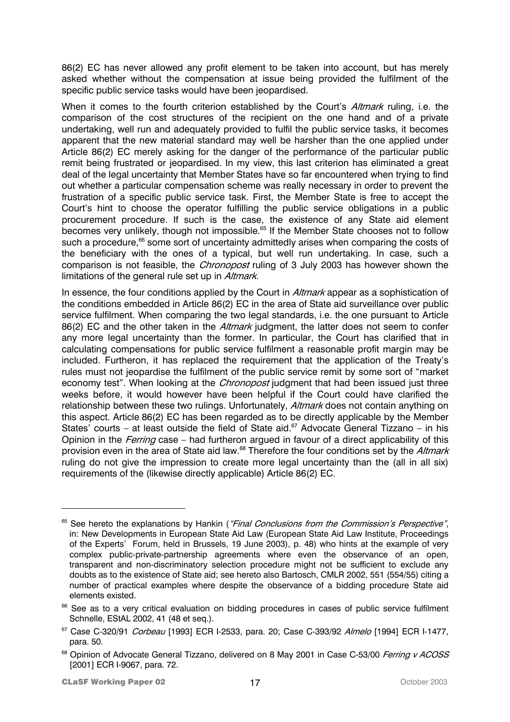86(2) EC has never allowed any profit element to be taken into account, but has merely asked whether without the compensation at issue being provided the fulfilment of the specific public service tasks would have been jeopardised.

When it comes to the fourth criterion established by the Court's *Altmark* ruling, i.e. the comparison of the cost structures of the recipient on the one hand and of a private undertaking, well run and adequately provided to fulfil the public service tasks, it becomes apparent that the new material standard may well be harsher than the one applied under Article 86(2) EC merely asking for the danger of the performance of the particular public remit being frustrated or jeopardised. In my view, this last criterion has eliminated a great deal of the legal uncertainty that Member States have so far encountered when trying to find out whether a particular compensation scheme was really necessary in order to prevent the frustration of a specific public service task. First, the Member State is free to accept the Court's hint to choose the operator fulfilling the public service obligations in a public procurement procedure. If such is the case, the existence of any State aid element becomes very unlikely, though not impossible.<sup>65</sup> If the Member State chooses not to follow such a procedure,<sup>66</sup> some sort of uncertainty admittedly arises when comparing the costs of the beneficiary with the ones of a typical, but well run undertaking. In case, such a comparison is not feasible, the *Chronopost* ruling of 3 July 2003 has however shown the limitations of the general rule set up in Altmark.

provision even in the area of State aid law.<sup>68</sup> Therefore the four conditions set by the *Altmark* In essence, the four conditions applied by the Court in *Altmark* appear as a sophistication of the conditions embedded in Article 86(2) EC in the area of State aid surveillance over public service fulfilment. When comparing the two legal standards, i.e. the one pursuant to Article 86(2) EC and the other taken in the *Altmark* judgment, the latter does not seem to confer any more legal uncertainty than the former. In particular, the Court has clarified that in calculating compensations for public service fulfilment a reasonable profit margin may be included. Furtheron, it has replaced the requirement that the application of the Treaty's rules must not jeopardise the fulfilment of the public service remit by some sort of "market economy test". When looking at the *Chronopost* judgment that had been issued just three weeks before, it would however have been helpful if the Court could have clarified the relationship between these two rulings. Unfortunately, Altmark does not contain anything on this aspect. Article 86(2) EC has been regarded as to be directly applicable by the Member States' courts – at least outside the field of State aid.<sup>67</sup> Advocate General Tizzano – in his Opinion in the *Ferring* case – had furtheron argued in favour of a direct applicability of this ruling do not give the impression to create more legal uncertainty than the (all in all six) requirements of the (likewise directly applicable) Article 86(2) EC.

<sup>&</sup>lt;sup>65</sup> See hereto the explanations by Hankin ("Final Conclusions from the Commission's Perspective", in: New Developments in European State Aid Law (European State Aid Law Institute, Proceedings of the Experts' Forum, held in Brussels, 19 June 2003), p. 48) who hints at the example of very complex public-private-partnership agreements where even the observance of an open, transparent and non-discriminatory selection procedure might not be sufficient to exclude any doubts as to the existence of State aid; see hereto also Bartosch, CMLR 2002, 551 (554/55) citing a number of practical examples where despite the observance of a bidding procedure State aid elements existed.

<sup>&</sup>lt;sup>66</sup> See as to a very critical evaluation on bidding procedures in cases of public service fulfilment Schnelle, EStAL 2002, 41 (48 et seq.).

<sup>&</sup>lt;sup>67</sup> Case C-320/91 *Corbeau* [1993] ECR I-2533, para. 20; Case C-393/92 Almelo [1994] ECR I-1477, para. 50.

<sup>&</sup>lt;sup>68</sup> Opinion of Advocate General Tizzano, delivered on 8 May 2001 in Case C-53/00 Ferring v ACOSS [2001] ECR I-9067, para. 72.